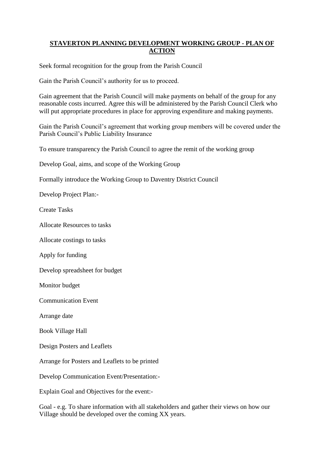## **STAVERTON PLANNING DEVELOPMENT WORKING GROUP - PLAN OF ACTION**

Seek formal recognition for the group from the Parish Council

Gain the Parish Council's authority for us to proceed.

Gain agreement that the Parish Council will make payments on behalf of the group for any reasonable costs incurred. Agree this will be administered by the Parish Council Clerk who will put appropriate procedures in place for approving expenditure and making payments.

Gain the Parish Council's agreement that working group members will be covered under the Parish Council's Public Liability Insurance

To ensure transparency the Parish Council to agree the remit of the working group

Develop Goal, aims, and scope of the Working Group

Formally introduce the Working Group to Daventry District Council

Develop Project Plan:-

Create Tasks

Allocate Resources to tasks

Allocate costings to tasks

Apply for funding

Develop spreadsheet for budget

Monitor budget

Communication Event

Arrange date

Book Village Hall

Design Posters and Leaflets

Arrange for Posters and Leaflets to be printed

Develop Communication Event/Presentation:-

Explain Goal and Objectives for the event:-

Goal - e.g. To share information with all stakeholders and gather their views on how our Village should be developed over the coming XX years.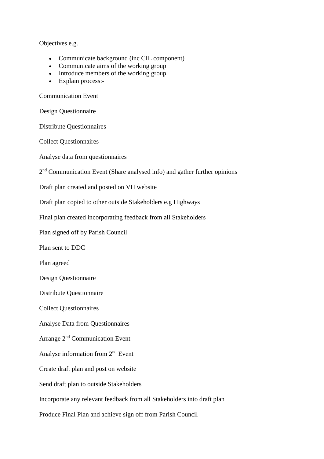Objectives e.g.

- Communicate background (inc CIL component)
- Communicate aims of the working group
- Introduce members of the working group
- Explain process:-

Communication Event

Design Questionnaire

Distribute Questionnaires

Collect Questionnaires

Analyse data from questionnaires

2<sup>nd</sup> Communication Event (Share analysed info) and gather further opinions

Draft plan created and posted on VH website

Draft plan copied to other outside Stakeholders e.g Highways

Final plan created incorporating feedback from all Stakeholders

Plan signed off by Parish Council

Plan sent to DDC

Plan agreed

Design Questionnaire

Distribute Questionnaire

Collect Questionnaires

Analyse Data from Questionnaires

Arrange 2nd Communication Event

Analyse information from 2nd Event

Create draft plan and post on website

Send draft plan to outside Stakeholders

Incorporate any relevant feedback from all Stakeholders into draft plan

Produce Final Plan and achieve sign off from Parish Council